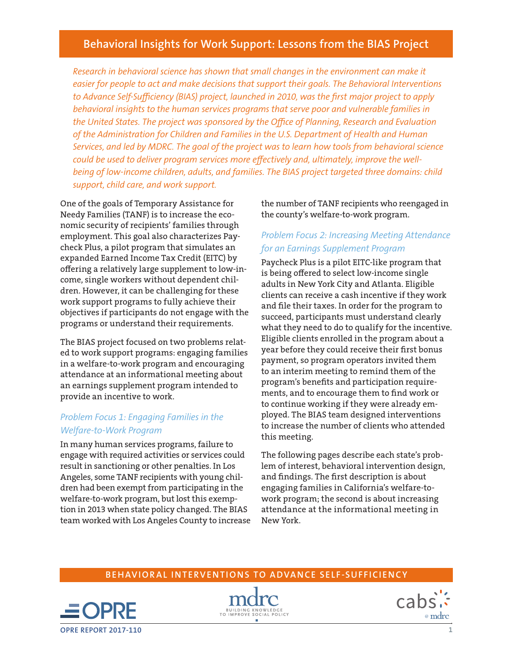# **Behavioral Insights for Work Support: Lessons from the BIAS Project**

*Research in behavioral science has shown that small changes in the environment can make it easier for people to act and make decisions that support their goals. The Behavioral Interventions to Advance Self-Sufficiency (BIAS) project, launched in 2010, was the first major project to apply behavioral insights to the human services programs that serve poor and vulnerable families in the United States. The project was sponsored by the Office of Planning, Research and Evaluation of the Administration for Children and Families in the U.S. Department of Health and Human Services, and led by MDRC. The goal of the project was to learn how tools from behavioral science could be used to deliver program services more effectively and, ultimately, improve the wellbeing of low-income children, adults, and families. The BIAS project targeted three domains: child support, child care, and work support.*

One of the goals of Temporary Assistance for Needy Families (TANF) is to increase the economic security of recipients' families through employment. This goal also characterizes Paycheck Plus, a pilot program that simulates an expanded Earned Income Tax Credit (EITC) by offering a relatively large supplement to low-income, single workers without dependent children. However, it can be challenging for these work support programs to fully achieve their objectives if participants do not engage with the programs or understand their requirements.

The BIAS project focused on two problems related to work support programs: engaging families in a welfare-to-work program and encouraging attendance at an informational meeting about an earnings supplement program intended to provide an incentive to work.

# *Problem Focus 1: Engaging Families in the Welfare-to-Work Program*

In many human services programs, failure to engage with required activities or services could result in sanctioning or other penalties. In Los Angeles, some TANF recipients with young children had been exempt from participating in the welfare-to-work program, but lost this exemption in 2013 when state policy changed. The BIAS team worked with Los Angeles County to increase

the number of TANF recipients who reengaged in the county's welfare-to-work program.

# *Problem Focus 2: Increasing Meeting Attendance for an Earnings Supplement Program*

Paycheck Plus is a pilot EITC-like program that is being offered to select low-income single adults in New York City and Atlanta. Eligible clients can receive a cash incentive if they work and file their taxes. In order for the program to succeed, participants must understand clearly what they need to do to qualify for the incentive. Eligible clients enrolled in the program about a year before they could receive their first bonus payment, so program operators invited them to an interim meeting to remind them of the program's benefits and participation requirements, and to encourage them to find work or to continue working if they were already employed. The BIAS team designed interventions to increase the number of clients who attended this meeting.

The following pages describe each state's problem of interest, behavioral intervention design, and findings. The first description is about engaging families in California's welfare-towork program; the second is about increasing attendance at the informational meeting in New York.

## **BEHAVIORAL INTERVENTIONS TO ADVANCE SELF-SUFFICIENCY**





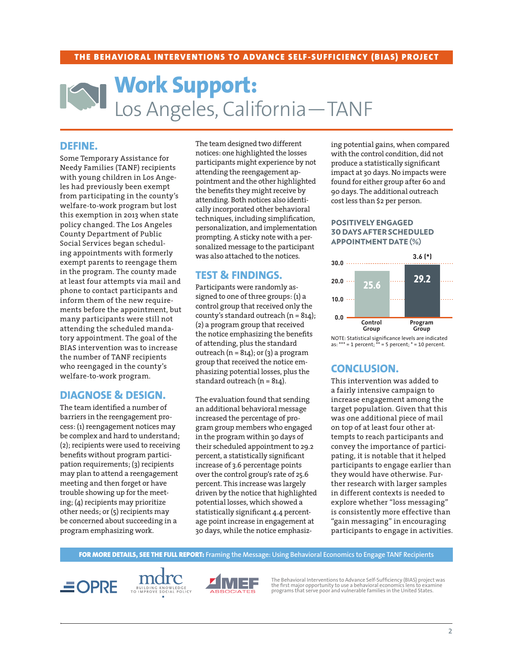#### THE BEHAVIORAL INTERVENTIONS TO ADVANCE SELF-SUFFICIENCY (BIAS) PROJECT

# **Work Support:** [Los Angeles, California—TANF](https://www.acf.hhs.gov/opre/resource/framing-the-message-behavioral-economics-to-engage-tanf-recipients)

### **DEFINE.**

Some Temporary Assistance for Needy Families (TANF) recipients with young children in Los Angeles had previously been exempt from participating in the county's welfare-to-work program but lost this exemption in 2013 when state policy changed. The Los Angeles County Department of Public Social Services began scheduling appointments with formerly exempt parents to reengage them in the program. The county made at least four attempts via mail and phone to contact participants and inform them of the new requirements before the appointment, but many participants were still not attending the scheduled mandatory appointment. The goal of the BIAS intervention was to increase the number of TANF recipients who reengaged in the county's welfare-to-work program.

## **DIAGNOSE & DESIGN.**

The team identified a number of barriers in the reengagement process: (1) reengagement notices may be complex and hard to understand; (2); recipients were used to receiving benefits without program participation requirements; (3) recipients may plan to attend a reengagement meeting and then forget or have trouble showing up for the meeting; (4) recipients may prioritize other needs; or (5) recipients may be concerned about succeeding in a program emphasizing work.

The team designed two different notices: one highlighted the losses participants might experience by not attending the reengagement appointment and the other highlighted the benefits they might receive by attending. Both notices also identically incorporated other behavioral techniques, including simplification, personalization, and implementation prompting. A sticky note with a personalized message to the participant was also attached to the notices.

## **TEST & FINDINGS.**

Participants were randomly assigned to one of three groups: (1) a control group that received only the county's standard outreach (n = 814); (2) a program group that received the notice emphasizing the benefits of attending, plus the standard outreach ( $n = 814$ ); or (3) a program group that received the notice emphasizing potential losses, plus the standard outreach  $(n = 814)$ .

The evaluation found that sending an additional behavioral message increased the percentage of program group members who engaged in the program within 30 days of their scheduled appointment to 29.2 percent, a statistically significant increase of 3.6 percentage points over the control group's rate of 25.6 percent. This increase was largely driven by the notice that highlighted potential losses, which showed a statistically significant 4.4 percentage point increase in engagement at 30 days, while the notice emphasizing potential gains, when compared with the control condition, did not produce a statistically significant impact at 30 days. No impacts were found for either group after 60 and 90 days. The additional outreach cost less than \$2 per person.

#### POSITIVELY ENGAGED 30 DAYS AFTER SCHEDULED APPOINTMENT DATE (%)



NOTE: Statistical significance levels are indicated as: \*\*\* = 1 percent; \*\* = 5 percent; \* = 10 percent.

# **CONCLUSION.**

This intervention was added to a fairly intensive campaign to increase engagement among the target population. Given that this was one additional piece of mail on top of at least four other attempts to reach participants and convey the importance of participating, it is notable that it helped participants to engage earlier than they would have otherwise. Further research with larger samples in different contexts is needed to explore whether "loss messaging" is consistently more effective than "gain messaging" in encouraging participants to engage in activities.

FOR MORE DETAILS, SEE THE FULL REPORT: **Framing the Message: Using Behavioral Economics to Engage TANF Recipients**







The Behavioral Interventions to Advance Self-Sufficiency (BIAS) project was the first major opportunity to use a behavioral economics lens to examine programs that serve poor and vulnerable families in the United States.